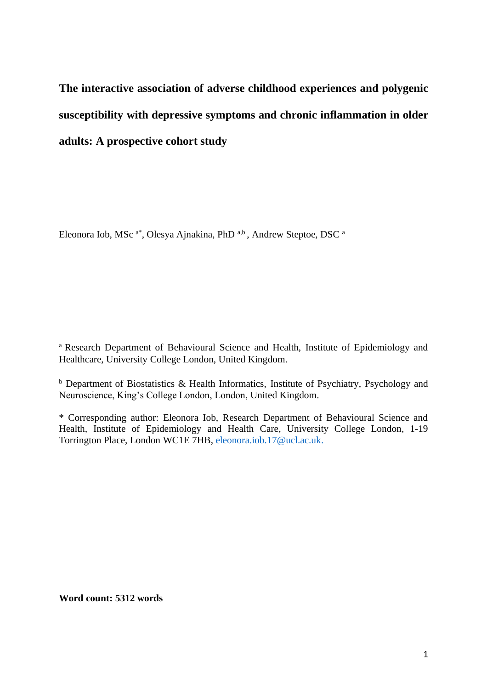**The interactive association of adverse childhood experiences and polygenic susceptibility with depressive symptoms and chronic inflammation in older adults: A prospective cohort study**

Eleonora Iob, MSc<sup>a\*</sup>, Olesya Ajnakina, PhD<sup>a,b</sup>, Andrew Steptoe, DSC<sup>a</sup>

<sup>a</sup> Research Department of Behavioural Science and Health, Institute of Epidemiology and Healthcare, University College London, United Kingdom.

<sup>b</sup> Department of Biostatistics & Health Informatics, Institute of Psychiatry, Psychology and Neuroscience, King's College London, London, United Kingdom.

\* Corresponding author: Eleonora Iob, Research Department of Behavioural Science and Health, Institute of Epidemiology and Health Care, University College London, 1-19 Torrington Place, London WC1E 7HB, [eleonora.iob.17@ucl.ac.uk.](mailto:eleonora.iob.17@ucl.ac.uk)

**Word count: 5312 words**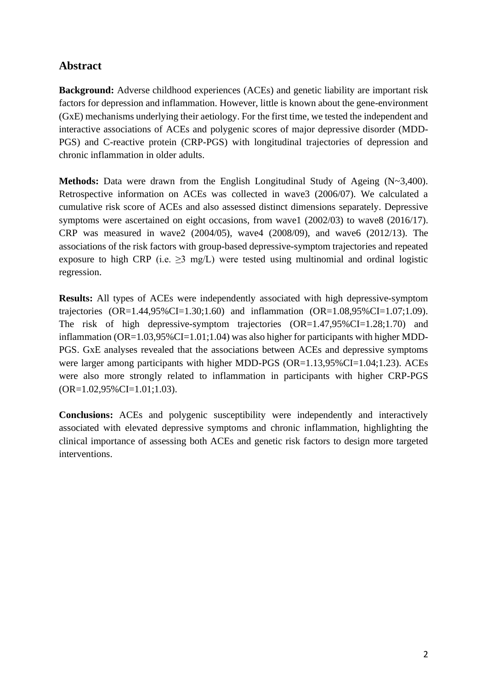# **Abstract**

**Background:** Adverse childhood experiences (ACEs) and genetic liability are important risk factors for depression and inflammation. However, little is known about the gene-environment (GxE) mechanisms underlying their aetiology. For the first time, we tested the independent and interactive associations of ACEs and polygenic scores of major depressive disorder (MDD-PGS) and C-reactive protein (CRP-PGS) with longitudinal trajectories of depression and chronic inflammation in older adults.

**Methods:** Data were drawn from the English Longitudinal Study of Ageing (N~3,400). Retrospective information on ACEs was collected in wave3 (2006/07). We calculated a cumulative risk score of ACEs and also assessed distinct dimensions separately. Depressive symptoms were ascertained on eight occasions, from wave1 (2002/03) to wave8 (2016/17). CRP was measured in wave2 (2004/05), wave4 (2008/09), and wave6 (2012/13). The associations of the risk factors with group-based depressive-symptom trajectories and repeated exposure to high CRP (i.e.  $\geq$ 3 mg/L) were tested using multinomial and ordinal logistic regression.

**Results:** All types of ACEs were independently associated with high depressive-symptom trajectories  $(OR=1.44,95\%CI=1.30;1.60)$  and inflammation  $(OR=1.08,95\%CI=1.07;1.09)$ . The risk of high depressive-symptom trajectories (OR=1.47,95%CI=1.28;1.70) and inflammation  $(OR=1.03,95\% CI=1.01;1.04)$  was also higher for participants with higher MDD-PGS. GxE analyses revealed that the associations between ACEs and depressive symptoms were larger among participants with higher MDD-PGS (OR=1.13,95%CI=1.04;1.23). ACEs were also more strongly related to inflammation in participants with higher CRP-PGS  $(OR=1.02,95\% CI=1.01;1.03).$ 

**Conclusions:** ACEs and polygenic susceptibility were independently and interactively associated with elevated depressive symptoms and chronic inflammation, highlighting the clinical importance of assessing both ACEs and genetic risk factors to design more targeted interventions.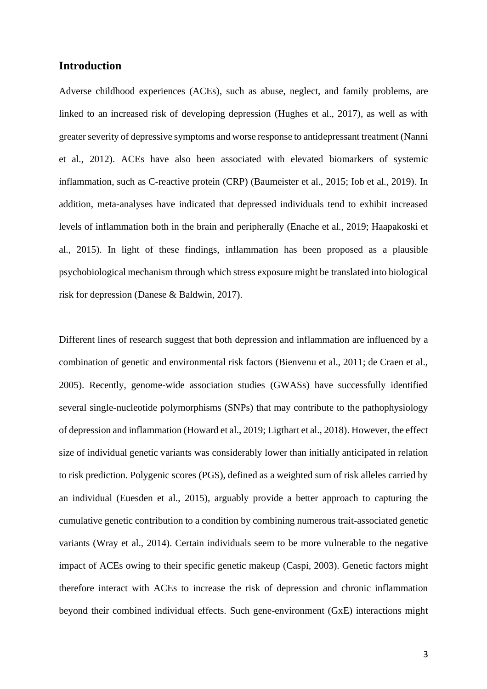# **Introduction**

Adverse childhood experiences (ACEs), such as abuse, neglect, and family problems, are linked to an increased risk of developing depression (Hughes et al., 2017), as well as with greater severity of depressive symptoms and worse response to antidepressant treatment (Nanni et al., 2012). ACEs have also been associated with elevated biomarkers of systemic inflammation, such as C-reactive protein (CRP) (Baumeister et al., 2015; Iob et al., 2019). In addition, meta-analyses have indicated that depressed individuals tend to exhibit increased levels of inflammation both in the brain and peripherally (Enache et al., 2019; Haapakoski et al., 2015). In light of these findings, inflammation has been proposed as a plausible psychobiological mechanism through which stress exposure might be translated into biological risk for depression (Danese & Baldwin, 2017).

Different lines of research suggest that both depression and inflammation are influenced by a combination of genetic and environmental risk factors (Bienvenu et al., 2011; de Craen et al., 2005). Recently, genome-wide association studies (GWASs) have successfully identified several single-nucleotide polymorphisms (SNPs) that may contribute to the pathophysiology of depression and inflammation (Howard et al., 2019; Ligthart et al., 2018). However, the effect size of individual genetic variants was considerably lower than initially anticipated in relation to risk prediction. Polygenic scores (PGS), defined as a weighted sum of risk alleles carried by an individual (Euesden et al., 2015), arguably provide a better approach to capturing the cumulative genetic contribution to a condition by combining numerous trait-associated genetic variants (Wray et al., 2014). Certain individuals seem to be more vulnerable to the negative impact of ACEs owing to their specific genetic makeup (Caspi, 2003). Genetic factors might therefore interact with ACEs to increase the risk of depression and chronic inflammation beyond their combined individual effects. Such gene-environment (GxE) interactions might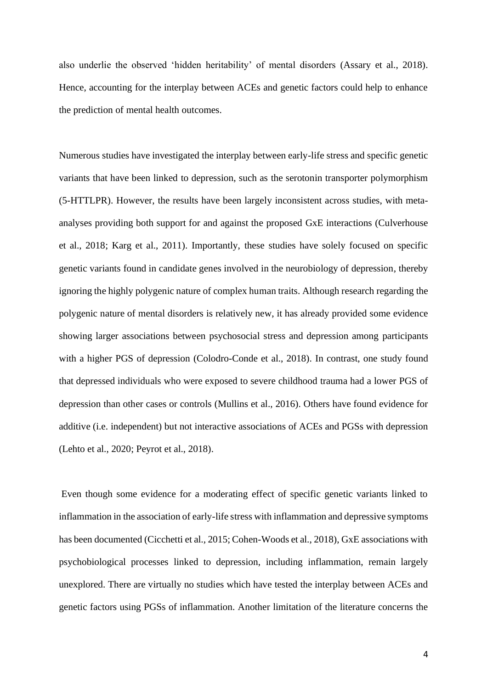also underlie the observed 'hidden heritability' of mental disorders (Assary et al., 2018). Hence, accounting for the interplay between ACEs and genetic factors could help to enhance the prediction of mental health outcomes.

Numerous studies have investigated the interplay between early-life stress and specific genetic variants that have been linked to depression, such as the serotonin transporter polymorphism (5-HTTLPR). However, the results have been largely inconsistent across studies, with metaanalyses providing both support for and against the proposed GxE interactions (Culverhouse et al., 2018; Karg et al., 2011). Importantly, these studies have solely focused on specific genetic variants found in candidate genes involved in the neurobiology of depression, thereby ignoring the highly polygenic nature of complex human traits. Although research regarding the polygenic nature of mental disorders is relatively new, it has already provided some evidence showing larger associations between psychosocial stress and depression among participants with a higher PGS of depression (Colodro-Conde et al., 2018). In contrast, one study found that depressed individuals who were exposed to severe childhood trauma had a lower PGS of depression than other cases or controls (Mullins et al., 2016). Others have found evidence for additive (i.e. independent) but not interactive associations of ACEs and PGSs with depression (Lehto et al., 2020; Peyrot et al., 2018).

Even though some evidence for a moderating effect of specific genetic variants linked to inflammation in the association of early-life stress with inflammation and depressive symptoms has been documented (Cicchetti et al., 2015; Cohen-Woods et al., 2018), GxE associations with psychobiological processes linked to depression, including inflammation, remain largely unexplored. There are virtually no studies which have tested the interplay between ACEs and genetic factors using PGSs of inflammation. Another limitation of the literature concerns the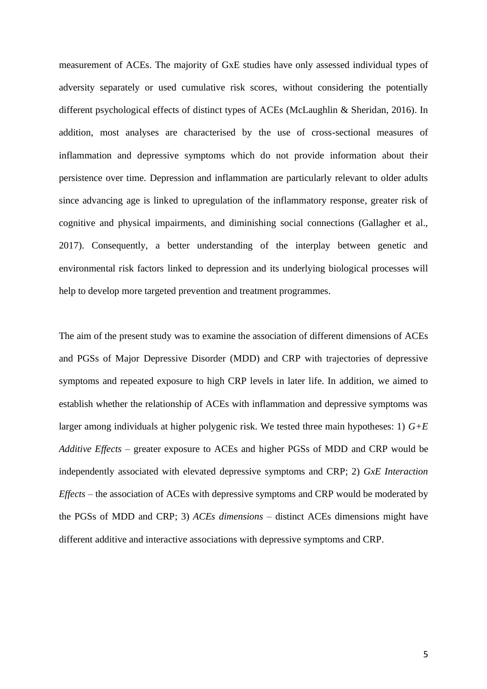measurement of ACEs. The majority of GxE studies have only assessed individual types of adversity separately or used cumulative risk scores, without considering the potentially different psychological effects of distinct types of ACEs (McLaughlin & Sheridan, 2016). In addition, most analyses are characterised by the use of cross-sectional measures of inflammation and depressive symptoms which do not provide information about their persistence over time. Depression and inflammation are particularly relevant to older adults since advancing age is linked to upregulation of the inflammatory response, greater risk of cognitive and physical impairments, and diminishing social connections (Gallagher et al., 2017). Consequently, a better understanding of the interplay between genetic and environmental risk factors linked to depression and its underlying biological processes will help to develop more targeted prevention and treatment programmes.

The aim of the present study was to examine the association of different dimensions of ACEs and PGSs of Major Depressive Disorder (MDD) and CRP with trajectories of depressive symptoms and repeated exposure to high CRP levels in later life. In addition, we aimed to establish whether the relationship of ACEs with inflammation and depressive symptoms was larger among individuals at higher polygenic risk. We tested three main hypotheses: 1) *G+E Additive Effects –* greater exposure to ACEs and higher PGSs of MDD and CRP would be independently associated with elevated depressive symptoms and CRP; 2) *GxE Interaction Effects –* the association of ACEs with depressive symptoms and CRP would be moderated by the PGSs of MDD and CRP; 3) *ACEs dimensions* – distinct ACEs dimensions might have different additive and interactive associations with depressive symptoms and CRP.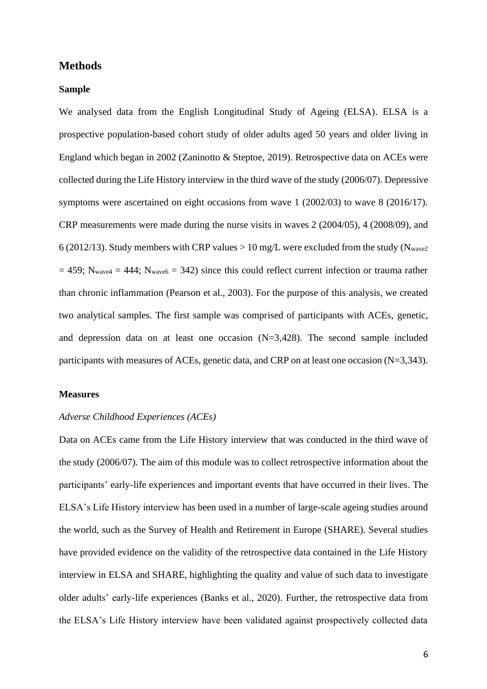### **Methods**

#### **Sample**

We analysed data from the English Longitudinal Study of Ageing (ELSA). ELSA is a prospective population-based cohort study of older adults aged 50 years and older living in England which began in 2002 (Zaninotto & Steptoe, 2019). Retrospective data on ACEs were collected during the Life History interview in the third wave of the study (2006/07). Depressive symptoms were ascertained on eight occasions from wave 1 (2002/03) to wave 8 (2016/17). CRP measurements were made during the nurse visits in waves 2 (2004/05), 4 (2008/09), and 6 (2012/13). Study members with CRP values  $> 10$  mg/L were excluded from the study (N<sub>wave2</sub>)  $= 459$ ; N<sub>wave4</sub>  $= 444$ ; N<sub>wave6</sub>  $= 342$ ) since this could reflect current infection or trauma rather than chronic inflammation (Pearson et al., 2003). For the purpose of this analysis, we created two analytical samples. The first sample was comprised of participants with ACEs, genetic, and depression data on at least one occasion (N=3,428). The second sample included participants with measures of ACEs, genetic data, and CRP on at least one occasion (N=3,343).

#### **Measures**

## *Adverse Childhood Experiences (ACEs)*

Data on ACEs came from the Life History interview that was conducted in the third wave of the study (2006/07). The aim of this module was to collect retrospective information about the participants' early-life experiences and important events that have occurred in their lives. The ELSA's Life History interview has been used in a number of large-scale ageing studies around the world, such as the Survey of Health and Retirement in Europe (SHARE). Several studies have provided evidence on the validity of the retrospective data contained in the Life History interview in ELSA and SHARE, highlighting the quality and value of such data to investigate older adults' early-life experiences (Banks et al., 2020). Further, the retrospective data from the ELSA's Life History interview have been validated against prospectively collected data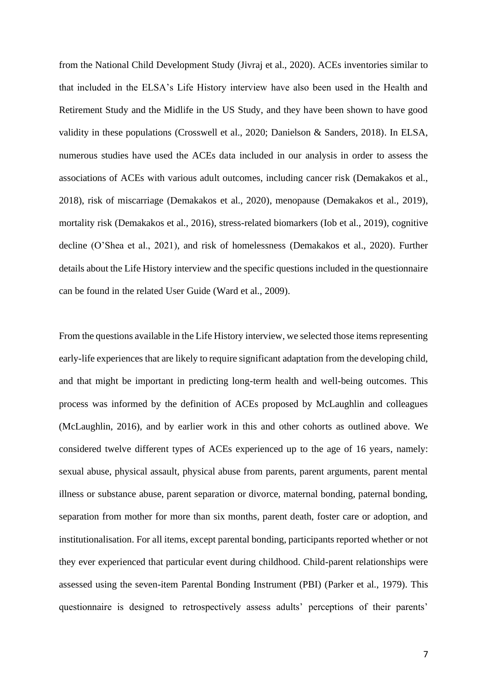from the National Child Development Study (Jivraj et al., 2020). ACEs inventories similar to that included in the ELSA's Life History interview have also been used in the Health and Retirement Study and the Midlife in the US Study, and they have been shown to have good validity in these populations (Crosswell et al., 2020; Danielson & Sanders, 2018). In ELSA, numerous studies have used the ACEs data included in our analysis in order to assess the associations of ACEs with various adult outcomes, including cancer risk (Demakakos et al., 2018), risk of miscarriage (Demakakos et al., 2020), menopause (Demakakos et al., 2019), mortality risk (Demakakos et al., 2016), stress-related biomarkers (Iob et al., 2019), cognitive decline (O'Shea et al., 2021), and risk of homelessness (Demakakos et al., 2020). Further details about the Life History interview and the specific questions included in the questionnaire can be found in the related User Guide (Ward et al., 2009).

From the questions available in the Life History interview, we selected those items representing early-life experiences that are likely to require significant adaptation from the developing child, and that might be important in predicting long-term health and well-being outcomes. This process was informed by the definition of ACEs proposed by McLaughlin and colleagues (McLaughlin, 2016), and by earlier work in this and other cohorts as outlined above. We considered twelve different types of ACEs experienced up to the age of 16 years, namely: sexual abuse, physical assault, physical abuse from parents, parent arguments, parent mental illness or substance abuse, parent separation or divorce, maternal bonding, paternal bonding, separation from mother for more than six months, parent death, foster care or adoption, and institutionalisation. For all items, except parental bonding, participants reported whether or not they ever experienced that particular event during childhood. Child-parent relationships were assessed using the seven-item Parental Bonding Instrument (PBI) (Parker et al., 1979). This questionnaire is designed to retrospectively assess adults' perceptions of their parents'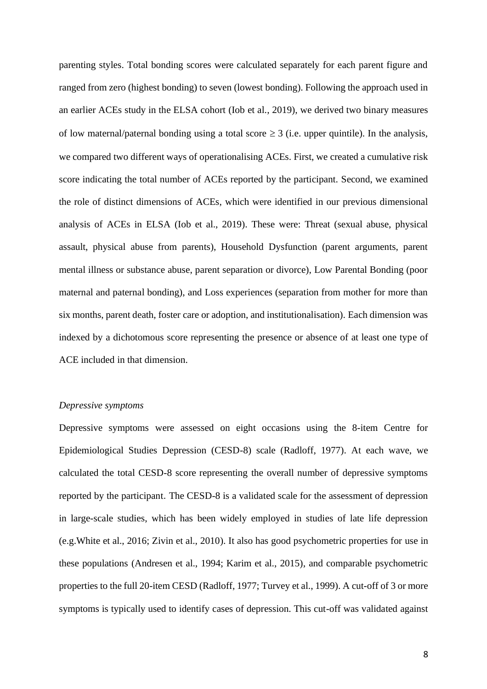parenting styles. Total bonding scores were calculated separately for each parent figure and ranged from zero (highest bonding) to seven (lowest bonding). Following the approach used in an earlier ACEs study in the ELSA cohort (Iob et al., 2019), we derived two binary measures of low maternal/paternal bonding using a total score  $\geq 3$  (i.e. upper quintile). In the analysis, we compared two different ways of operationalising ACEs. First, we created a cumulative risk score indicating the total number of ACEs reported by the participant. Second, we examined the role of distinct dimensions of ACEs, which were identified in our previous dimensional analysis of ACEs in ELSA (Iob et al., 2019). These were: Threat (sexual abuse, physical assault, physical abuse from parents), Household Dysfunction (parent arguments, parent mental illness or substance abuse, parent separation or divorce), Low Parental Bonding (poor maternal and paternal bonding), and Loss experiences (separation from mother for more than six months, parent death, foster care or adoption, and institutionalisation). Each dimension was indexed by a dichotomous score representing the presence or absence of at least one type of ACE included in that dimension.

### *Depressive symptoms*

Depressive symptoms were assessed on eight occasions using the 8-item Centre for Epidemiological Studies Depression (CESD-8) scale (Radloff, 1977). At each wave, we calculated the total CESD-8 score representing the overall number of depressive symptoms reported by the participant. The CESD-8 is a validated scale for the assessment of depression in large-scale studies, which has been widely employed in studies of late life depression (e.g.White et al., 2016; Zivin et al., 2010). It also has good psychometric properties for use in these populations (Andresen et al., 1994; Karim et al., 2015), and comparable psychometric properties to the full 20-item CESD (Radloff, 1977; Turvey et al., 1999). A cut-off of 3 or more symptoms is typically used to identify cases of depression. This cut-off was validated against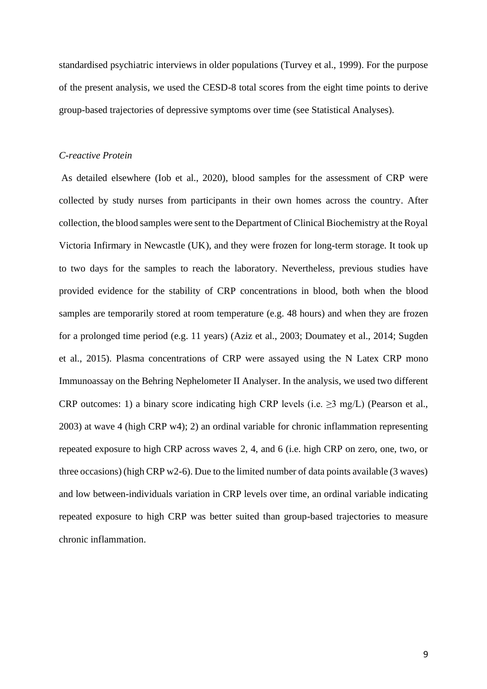standardised psychiatric interviews in older populations (Turvey et al., 1999). For the purpose of the present analysis, we used the CESD-8 total scores from the eight time points to derive group-based trajectories of depressive symptoms over time (see Statistical Analyses).

#### *C-reactive Protein*

As detailed elsewhere (Iob et al., 2020), blood samples for the assessment of CRP were collected by study nurses from participants in their own homes across the country. After collection, the blood samples were sent to the Department of Clinical Biochemistry at the Royal Victoria Infirmary in Newcastle (UK), and they were frozen for long-term storage. It took up to two days for the samples to reach the laboratory. Nevertheless, previous studies have provided evidence for the stability of CRP concentrations in blood, both when the blood samples are temporarily stored at room temperature (e.g. 48 hours) and when they are frozen for a prolonged time period (e.g. 11 years) (Aziz et al., 2003; Doumatey et al., 2014; Sugden et al., 2015). Plasma concentrations of CRP were assayed using the N Latex CRP mono Immunoassay on the Behring Nephelometer II Analyser. In the analysis, we used two different CRP outcomes: 1) a binary score indicating high CRP levels (i.e.  $\geq$ 3 mg/L) (Pearson et al., 2003) at wave 4 (high CRP w4); 2) an ordinal variable for chronic inflammation representing repeated exposure to high CRP across waves 2, 4, and 6 (i.e. high CRP on zero, one, two, or three occasions) (high CRP  $w2-6$ ). Due to the limited number of data points available (3 waves) and low between-individuals variation in CRP levels over time, an ordinal variable indicating repeated exposure to high CRP was better suited than group-based trajectories to measure chronic inflammation.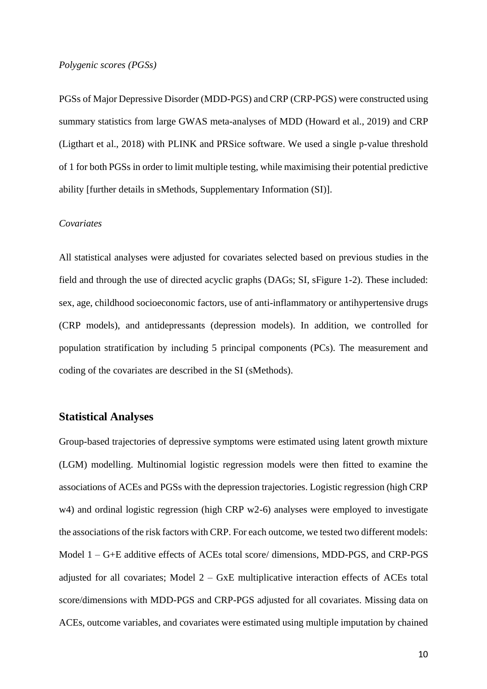#### *Polygenic scores (PGSs)*

PGSs of Major Depressive Disorder (MDD-PGS) and CRP (CRP-PGS) were constructed using summary statistics from large GWAS meta-analyses of MDD (Howard et al., 2019) and CRP (Ligthart et al., 2018) with PLINK and PRSice software. We used a single p-value threshold of 1 for both PGSs in order to limit multiple testing, while maximising their potential predictive ability [further details in sMethods, Supplementary Information (SI)].

#### *Covariates*

All statistical analyses were adjusted for covariates selected based on previous studies in the field and through the use of directed acyclic graphs (DAGs; SI, sFigure 1-2). These included: sex, age, childhood socioeconomic factors, use of anti-inflammatory or antihypertensive drugs (CRP models), and antidepressants (depression models). In addition, we controlled for population stratification by including 5 principal components (PCs). The measurement and coding of the covariates are described in the SI (sMethods).

# **Statistical Analyses**

Group-based trajectories of depressive symptoms were estimated using latent growth mixture (LGM) modelling. Multinomial logistic regression models were then fitted to examine the associations of ACEs and PGSs with the depression trajectories. Logistic regression (high CRP w4) and ordinal logistic regression (high CRP w2-6) analyses were employed to investigate the associations of the risk factors with CRP. For each outcome, we tested two different models: Model 1 – G+E additive effects of ACEs total score/ dimensions, MDD-PGS, and CRP-PGS adjusted for all covariates; Model 2 – GxE multiplicative interaction effects of ACEs total score/dimensions with MDD-PGS and CRP-PGS adjusted for all covariates. Missing data on ACEs, outcome variables, and covariates were estimated using multiple imputation by chained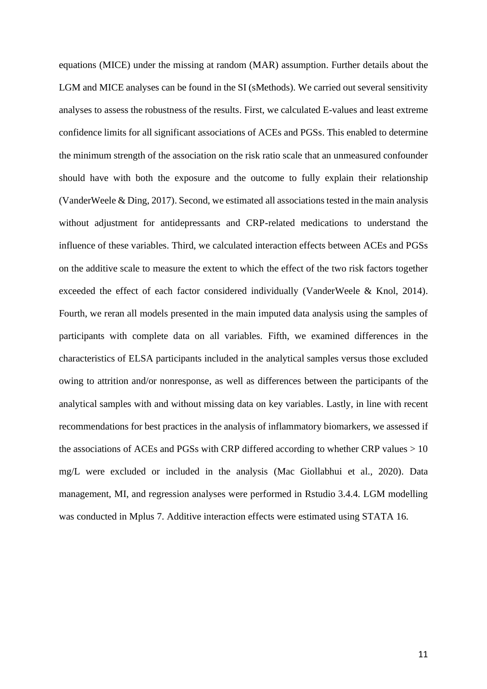equations (MICE) under the missing at random (MAR) assumption. Further details about the LGM and MICE analyses can be found in the SI (sMethods). We carried out several sensitivity analyses to assess the robustness of the results. First, we calculated E-values and least extreme confidence limits for all significant associations of ACEs and PGSs. This enabled to determine the minimum strength of the association on the risk ratio scale that an unmeasured confounder should have with both the exposure and the outcome to fully explain their relationship (VanderWeele & Ding, 2017). Second, we estimated all associations tested in the main analysis without adjustment for antidepressants and CRP-related medications to understand the influence of these variables. Third, we calculated interaction effects between ACEs and PGSs on the additive scale to measure the extent to which the effect of the two risk factors together exceeded the effect of each factor considered individually (VanderWeele & Knol, 2014). Fourth, we reran all models presented in the main imputed data analysis using the samples of participants with complete data on all variables. Fifth, we examined differences in the characteristics of ELSA participants included in the analytical samples versus those excluded owing to attrition and/or nonresponse, as well as differences between the participants of the analytical samples with and without missing data on key variables. Lastly, in line with recent recommendations for best practices in the analysis of inflammatory biomarkers, we assessed if the associations of ACEs and PGSs with CRP differed according to whether CRP values  $> 10$ mg/L were excluded or included in the analysis (Mac Giollabhui et al., 2020). Data management, MI, and regression analyses were performed in Rstudio 3.4.4. LGM modelling was conducted in Mplus 7. Additive interaction effects were estimated using STATA 16.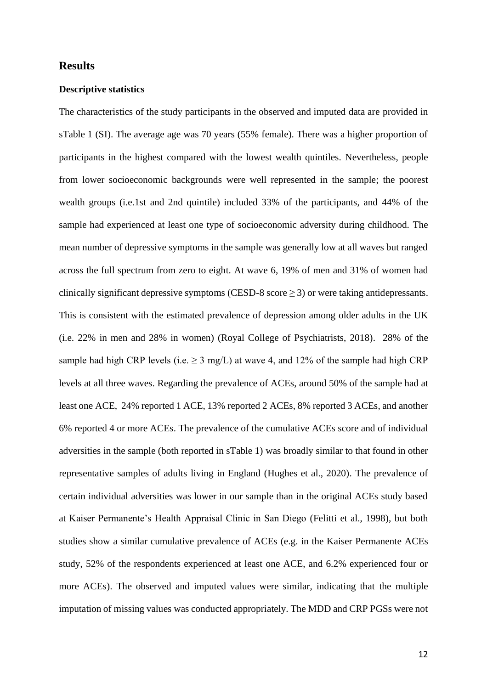## **Results**

### **Descriptive statistics**

The characteristics of the study participants in the observed and imputed data are provided in sTable 1 (SI). The average age was 70 years (55% female). There was a higher proportion of participants in the highest compared with the lowest wealth quintiles. Nevertheless, people from lower socioeconomic backgrounds were well represented in the sample; the poorest wealth groups (i.e.1st and 2nd quintile) included 33% of the participants, and 44% of the sample had experienced at least one type of socioeconomic adversity during childhood. The mean number of depressive symptoms in the sample was generally low at all waves but ranged across the full spectrum from zero to eight. At wave 6, 19% of men and 31% of women had clinically significant depressive symptoms (CESD-8 score  $\geq$  3) or were taking antidepressants. This is consistent with the estimated prevalence of depression among older adults in the UK (i.e. 22% in men and 28% in women) (Royal College of Psychiatrists, 2018). 28% of the sample had high CRP levels (i.e.  $\geq 3$  mg/L) at wave 4, and 12% of the sample had high CRP levels at all three waves. Regarding the prevalence of ACEs, around 50% of the sample had at least one ACE, 24% reported 1 ACE, 13% reported 2 ACEs, 8% reported 3 ACEs, and another 6% reported 4 or more ACEs. The prevalence of the cumulative ACEs score and of individual adversities in the sample (both reported in sTable 1) was broadly similar to that found in other representative samples of adults living in England (Hughes et al., 2020). The prevalence of certain individual adversities was lower in our sample than in the original ACEs study based at Kaiser Permanente's Health Appraisal Clinic in San Diego (Felitti et al., 1998), but both studies show a similar cumulative prevalence of ACEs (e.g. in the Kaiser Permanente ACEs study, 52% of the respondents experienced at least one ACE, and 6.2% experienced four or more ACEs). The observed and imputed values were similar, indicating that the multiple imputation of missing values was conducted appropriately. The MDD and CRP PGSs were not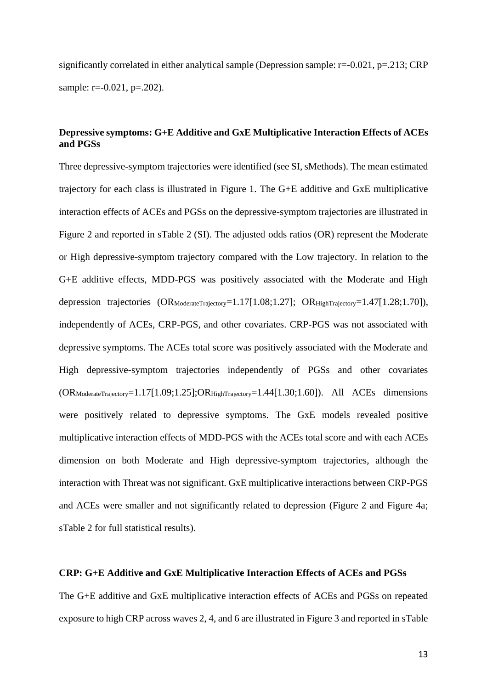significantly correlated in either analytical sample (Depression sample: r=-0.021, p=.213; CRP sample: r=-0.021, p=.202).

# **Depressive symptoms: G+E Additive and GxE Multiplicative Interaction Effects of ACEs and PGSs**

Three depressive-symptom trajectories were identified (see SI, sMethods). The mean estimated trajectory for each class is illustrated in Figure 1. The G+E additive and GxE multiplicative interaction effects of ACEs and PGSs on the depressive-symptom trajectories are illustrated in Figure 2 and reported in sTable 2 (SI). The adjusted odds ratios (OR) represent the Moderate or High depressive-symptom trajectory compared with the Low trajectory. In relation to the G+E additive effects, MDD-PGS was positively associated with the Moderate and High depression trajectories (ORModerateTrajectory=1.17[1.08;1.27]; ORHighTrajectory=1.47[1.28;1.70]), independently of ACEs, CRP-PGS, and other covariates. CRP-PGS was not associated with depressive symptoms. The ACEs total score was positively associated with the Moderate and High depressive-symptom trajectories independently of PGSs and other covariates (ORModerateTrajectory=1.17[1.09;1.25];ORHighTrajectory=1.44[1.30;1.60]). All ACEs dimensions were positively related to depressive symptoms. The GxE models revealed positive multiplicative interaction effects of MDD-PGS with the ACEs total score and with each ACEs dimension on both Moderate and High depressive-symptom trajectories, although the interaction with Threat was not significant. GxE multiplicative interactions between CRP-PGS and ACEs were smaller and not significantly related to depression (Figure 2 and Figure 4a; sTable 2 for full statistical results).

## **CRP: G+E Additive and GxE Multiplicative Interaction Effects of ACEs and PGSs**

The G+E additive and GxE multiplicative interaction effects of ACEs and PGSs on repeated exposure to high CRP across waves 2, 4, and 6 are illustrated in Figure 3 and reported in sTable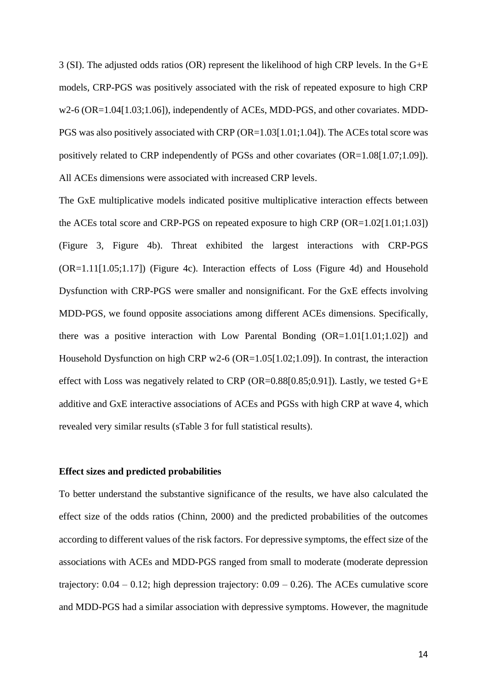3 (SI). The adjusted odds ratios (OR) represent the likelihood of high CRP levels. In the G+E models, CRP-PGS was positively associated with the risk of repeated exposure to high CRP w2-6 (OR=1.04[1.03;1.06]), independently of ACEs, MDD-PGS, and other covariates. MDD-PGS was also positively associated with CRP (OR=1.03[1.01;1.04]). The ACEs total score was positively related to CRP independently of PGSs and other covariates (OR=1.08[1.07;1.09]). All ACEs dimensions were associated with increased CRP levels.

The GxE multiplicative models indicated positive multiplicative interaction effects between the ACEs total score and CRP-PGS on repeated exposure to high CRP (OR=1.02[1.01;1.03]) (Figure 3, Figure 4b). Threat exhibited the largest interactions with CRP-PGS (OR=1.11[1.05;1.17]) (Figure 4c). Interaction effects of Loss (Figure 4d) and Household Dysfunction with CRP-PGS were smaller and nonsignificant. For the GxE effects involving MDD-PGS, we found opposite associations among different ACEs dimensions. Specifically, there was a positive interaction with Low Parental Bonding  $(OR=1.01[1.01;1.02])$  and Household Dysfunction on high CRP w2-6 (OR=1.05[1.02;1.09]). In contrast, the interaction effect with Loss was negatively related to CRP (OR= $0.88[0.85;0.91]$ ). Lastly, we tested G+E additive and GxE interactive associations of ACEs and PGSs with high CRP at wave 4, which revealed very similar results (sTable 3 for full statistical results).

### **Effect sizes and predicted probabilities**

To better understand the substantive significance of the results, we have also calculated the effect size of the odds ratios (Chinn, 2000) and the predicted probabilities of the outcomes according to different values of the risk factors. For depressive symptoms, the effect size of the associations with ACEs and MDD-PGS ranged from small to moderate (moderate depression trajectory:  $0.04 - 0.12$ ; high depression trajectory:  $0.09 - 0.26$ ). The ACEs cumulative score and MDD-PGS had a similar association with depressive symptoms. However, the magnitude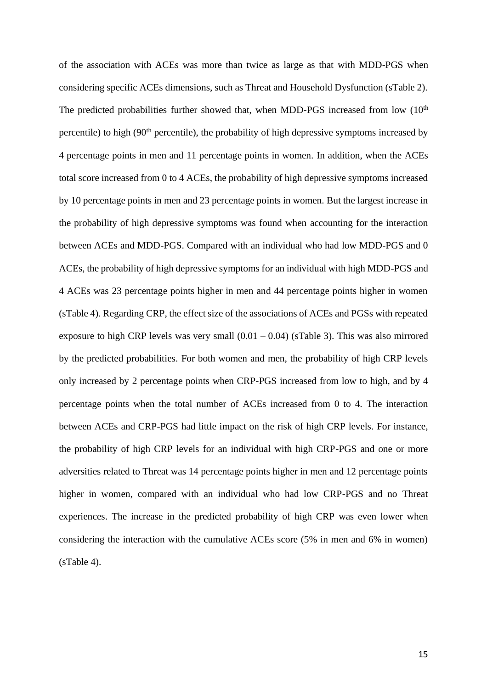of the association with ACEs was more than twice as large as that with MDD-PGS when considering specific ACEs dimensions, such as Threat and Household Dysfunction (sTable 2). The predicted probabilities further showed that, when MDD-PGS increased from low  $(10<sup>th</sup>$ percentile) to high (90th percentile), the probability of high depressive symptoms increased by 4 percentage points in men and 11 percentage points in women. In addition, when the ACEs total score increased from 0 to 4 ACEs, the probability of high depressive symptoms increased by 10 percentage points in men and 23 percentage points in women. But the largest increase in the probability of high depressive symptoms was found when accounting for the interaction between ACEs and MDD-PGS. Compared with an individual who had low MDD-PGS and 0 ACEs, the probability of high depressive symptoms for an individual with high MDD-PGS and 4 ACEs was 23 percentage points higher in men and 44 percentage points higher in women (sTable 4). Regarding CRP, the effect size of the associations of ACEs and PGSs with repeated exposure to high CRP levels was very small  $(0.01 - 0.04)$  (sTable 3). This was also mirrored by the predicted probabilities. For both women and men, the probability of high CRP levels only increased by 2 percentage points when CRP-PGS increased from low to high, and by 4 percentage points when the total number of ACEs increased from 0 to 4. The interaction between ACEs and CRP-PGS had little impact on the risk of high CRP levels. For instance, the probability of high CRP levels for an individual with high CRP-PGS and one or more adversities related to Threat was 14 percentage points higher in men and 12 percentage points higher in women, compared with an individual who had low CRP-PGS and no Threat experiences. The increase in the predicted probability of high CRP was even lower when considering the interaction with the cumulative ACEs score (5% in men and 6% in women) (sTable 4).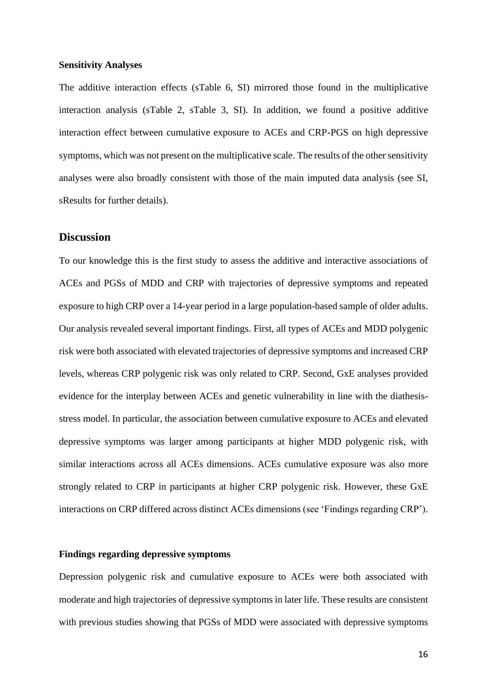### **Sensitivity Analyses**

The additive interaction effects (sTable 6, SI) mirrored those found in the multiplicative interaction analysis (sTable 2, sTable 3, SI). In addition, we found a positive additive interaction effect between cumulative exposure to ACEs and CRP-PGS on high depressive symptoms, which was not present on the multiplicative scale. The results of the other sensitivity analyses were also broadly consistent with those of the main imputed data analysis (see SI, sResults for further details).

# **Discussion**

To our knowledge this is the first study to assess the additive and interactive associations of ACEs and PGSs of MDD and CRP with trajectories of depressive symptoms and repeated exposure to high CRP over a 14-year period in a large population-based sample of older adults. Our analysis revealed several important findings. First, all types of ACEs and MDD polygenic risk were both associated with elevated trajectories of depressive symptoms and increased CRP levels, whereas CRP polygenic risk was only related to CRP. Second, GxE analyses provided evidence for the interplay between ACEs and genetic vulnerability in line with the diathesisstress model. In particular, the association between cumulative exposure to ACEs and elevated depressive symptoms was larger among participants at higher MDD polygenic risk, with similar interactions across all ACEs dimensions. ACEs cumulative exposure was also more strongly related to CRP in participants at higher CRP polygenic risk. However, these GxE interactions on CRP differed across distinct ACEs dimensions (see 'Findings regarding CRP').

### **Findings regarding depressive symptoms**

Depression polygenic risk and cumulative exposure to ACEs were both associated with moderate and high trajectories of depressive symptoms in later life. These results are consistent with previous studies showing that PGSs of MDD were associated with depressive symptoms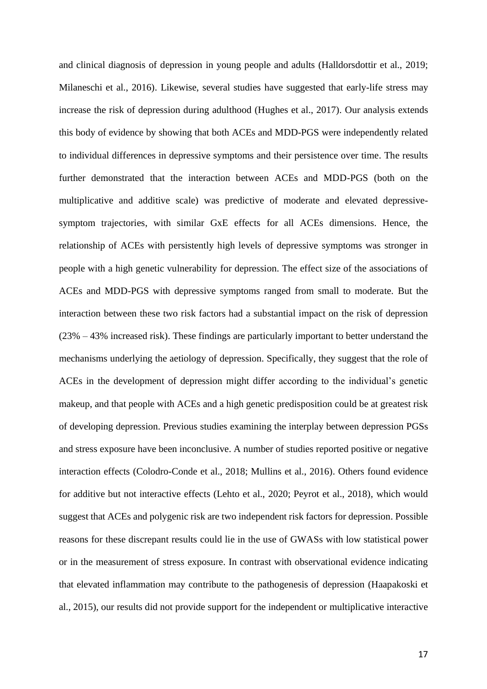and clinical diagnosis of depression in young people and adults (Halldorsdottir et al., 2019; Milaneschi et al., 2016). Likewise, several studies have suggested that early-life stress may increase the risk of depression during adulthood (Hughes et al., 2017). Our analysis extends this body of evidence by showing that both ACEs and MDD-PGS were independently related to individual differences in depressive symptoms and their persistence over time. The results further demonstrated that the interaction between ACEs and MDD-PGS (both on the multiplicative and additive scale) was predictive of moderate and elevated depressivesymptom trajectories, with similar GxE effects for all ACEs dimensions. Hence, the relationship of ACEs with persistently high levels of depressive symptoms was stronger in people with a high genetic vulnerability for depression. The effect size of the associations of ACEs and MDD-PGS with depressive symptoms ranged from small to moderate. But the interaction between these two risk factors had a substantial impact on the risk of depression  $(23\% - 43\%)$  increased risk). These findings are particularly important to better understand the mechanisms underlying the aetiology of depression. Specifically, they suggest that the role of ACEs in the development of depression might differ according to the individual's genetic makeup, and that people with ACEs and a high genetic predisposition could be at greatest risk of developing depression. Previous studies examining the interplay between depression PGSs and stress exposure have been inconclusive. A number of studies reported positive or negative interaction effects (Colodro-Conde et al., 2018; Mullins et al., 2016). Others found evidence for additive but not interactive effects (Lehto et al., 2020; Peyrot et al., 2018), which would suggest that ACEs and polygenic risk are two independent risk factors for depression. Possible reasons for these discrepant results could lie in the use of GWASs with low statistical power or in the measurement of stress exposure. In contrast with observational evidence indicating that elevated inflammation may contribute to the pathogenesis of depression (Haapakoski et al., 2015), our results did not provide support for the independent or multiplicative interactive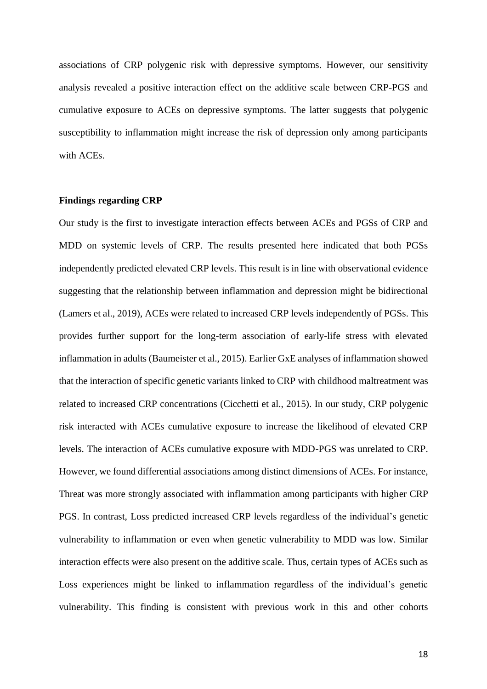associations of CRP polygenic risk with depressive symptoms. However, our sensitivity analysis revealed a positive interaction effect on the additive scale between CRP-PGS and cumulative exposure to ACEs on depressive symptoms. The latter suggests that polygenic susceptibility to inflammation might increase the risk of depression only among participants with ACEs.

#### **Findings regarding CRP**

Our study is the first to investigate interaction effects between ACEs and PGSs of CRP and MDD on systemic levels of CRP. The results presented here indicated that both PGSs independently predicted elevated CRP levels. This result is in line with observational evidence suggesting that the relationship between inflammation and depression might be bidirectional (Lamers et al., 2019), ACEs were related to increased CRP levels independently of PGSs. This provides further support for the long-term association of early-life stress with elevated inflammation in adults (Baumeister et al., 2015). Earlier GxE analyses of inflammation showed that the interaction of specific genetic variants linked to CRP with childhood maltreatment was related to increased CRP concentrations (Cicchetti et al., 2015). In our study, CRP polygenic risk interacted with ACEs cumulative exposure to increase the likelihood of elevated CRP levels. The interaction of ACEs cumulative exposure with MDD-PGS was unrelated to CRP. However, we found differential associations among distinct dimensions of ACEs. For instance, Threat was more strongly associated with inflammation among participants with higher CRP PGS. In contrast, Loss predicted increased CRP levels regardless of the individual's genetic vulnerability to inflammation or even when genetic vulnerability to MDD was low. Similar interaction effects were also present on the additive scale. Thus, certain types of ACEs such as Loss experiences might be linked to inflammation regardless of the individual's genetic vulnerability. This finding is consistent with previous work in this and other cohorts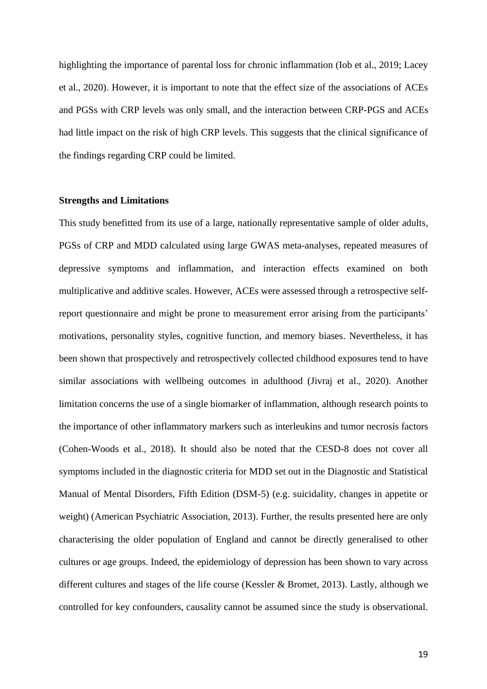highlighting the importance of parental loss for chronic inflammation (Iob et al., 2019; Lacey et al., 2020). However, it is important to note that the effect size of the associations of ACEs and PGSs with CRP levels was only small, and the interaction between CRP-PGS and ACEs had little impact on the risk of high CRP levels. This suggests that the clinical significance of the findings regarding CRP could be limited.

### **Strengths and Limitations**

This study benefitted from its use of a large, nationally representative sample of older adults, PGSs of CRP and MDD calculated using large GWAS meta-analyses, repeated measures of depressive symptoms and inflammation, and interaction effects examined on both multiplicative and additive scales. However, ACEs were assessed through a retrospective selfreport questionnaire and might be prone to measurement error arising from the participants' motivations, personality styles, cognitive function, and memory biases. Nevertheless, it has been shown that prospectively and retrospectively collected childhood exposures tend to have similar associations with wellbeing outcomes in adulthood (Jivraj et al., 2020). Another limitation concerns the use of a single biomarker of inflammation, although research points to the importance of other inflammatory markers such as interleukins and tumor necrosis factors (Cohen-Woods et al., 2018). It should also be noted that the CESD-8 does not cover all symptoms included in the diagnostic criteria for MDD set out in the Diagnostic and Statistical Manual of Mental Disorders, Fifth Edition (DSM-5) (e.g. suicidality, changes in appetite or weight) (American Psychiatric Association, 2013). Further, the results presented here are only characterising the older population of England and cannot be directly generalised to other cultures or age groups. Indeed, the epidemiology of depression has been shown to vary across different cultures and stages of the life course (Kessler & Bromet, 2013). Lastly, although we controlled for key confounders, causality cannot be assumed since the study is observational.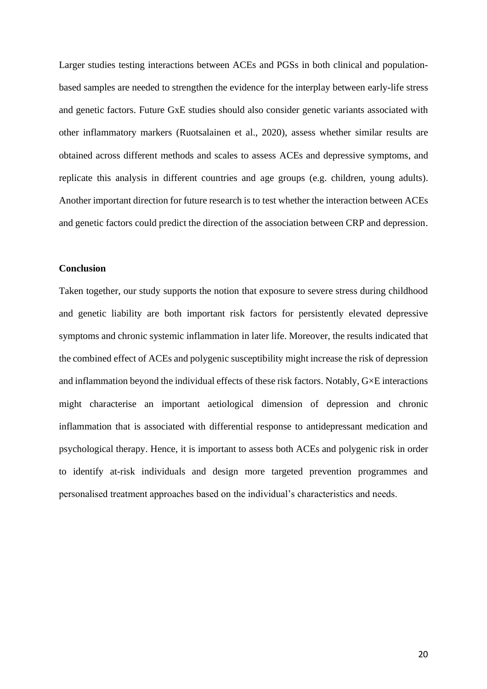Larger studies testing interactions between ACEs and PGSs in both clinical and populationbased samples are needed to strengthen the evidence for the interplay between early-life stress and genetic factors. Future GxE studies should also consider genetic variants associated with other inflammatory markers (Ruotsalainen et al., 2020), assess whether similar results are obtained across different methods and scales to assess ACEs and depressive symptoms, and replicate this analysis in different countries and age groups (e.g. children, young adults). Another important direction for future research is to test whether the interaction between ACEs and genetic factors could predict the direction of the association between CRP and depression.

### **Conclusion**

Taken together, our study supports the notion that exposure to severe stress during childhood and genetic liability are both important risk factors for persistently elevated depressive symptoms and chronic systemic inflammation in later life. Moreover, the results indicated that the combined effect of ACEs and polygenic susceptibility might increase the risk of depression and inflammation beyond the individual effects of these risk factors. Notably, G×E interactions might characterise an important aetiological dimension of depression and chronic inflammation that is associated with differential response to antidepressant medication and psychological therapy. Hence, it is important to assess both ACEs and polygenic risk in order to identify at-risk individuals and design more targeted prevention programmes and personalised treatment approaches based on the individual's characteristics and needs.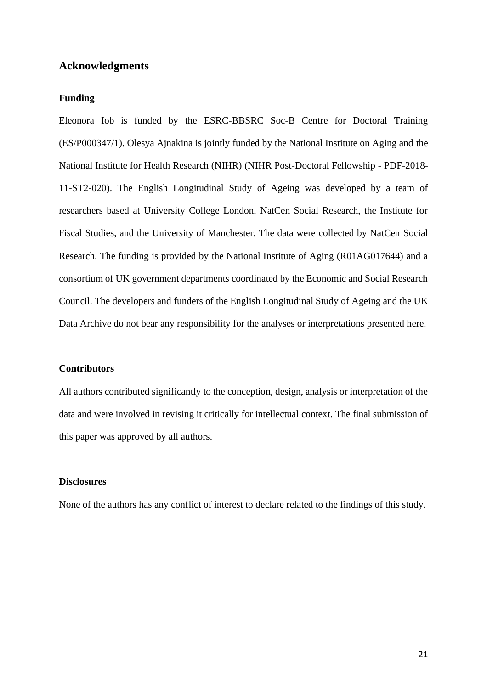## **Acknowledgments**

## **Funding**

Eleonora Iob is funded by the ESRC-BBSRC Soc-B Centre for Doctoral Training (ES/P000347/1). Olesya Ajnakina is jointly funded by the National Institute on Aging and the National Institute for Health Research (NIHR) (NIHR Post-Doctoral Fellowship - PDF-2018- 11-ST2-020). The English Longitudinal Study of Ageing was developed by a team of researchers based at University College London, NatCen Social Research, the Institute for Fiscal Studies, and the University of Manchester. The data were collected by NatCen Social Research. The funding is provided by the National Institute of Aging (R01AG017644) and a consortium of UK government departments coordinated by the Economic and Social Research Council. The developers and funders of the English Longitudinal Study of Ageing and the UK Data Archive do not bear any responsibility for the analyses or interpretations presented here.

### **Contributors**

All authors contributed significantly to the conception, design, analysis or interpretation of the data and were involved in revising it critically for intellectual context. The final submission of this paper was approved by all authors.

### **Disclosures**

None of the authors has any conflict of interest to declare related to the findings of this study.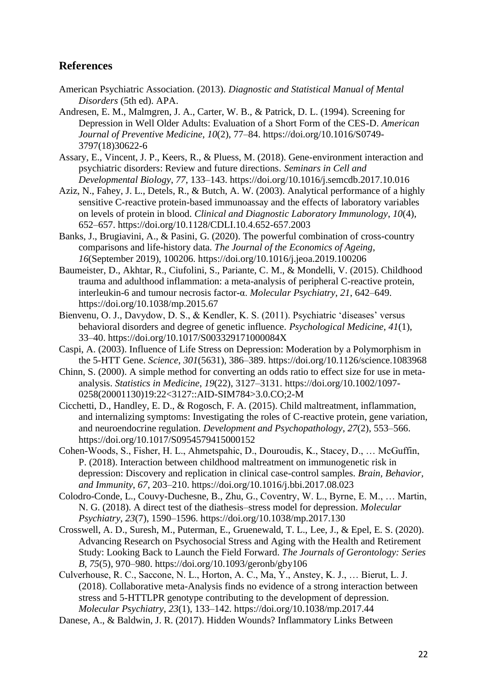# **References**

- American Psychiatric Association. (2013). *Diagnostic and Statistical Manual of Mental Disorders* (5th ed). APA.
- Andresen, E. M., Malmgren, J. A., Carter, W. B., & Patrick, D. L. (1994). Screening for Depression in Well Older Adults: Evaluation of a Short Form of the CES-D. *American Journal of Preventive Medicine*, *10*(2), 77–84. https://doi.org/10.1016/S0749- 3797(18)30622-6
- Assary, E., Vincent, J. P., Keers, R., & Pluess, M. (2018). Gene-environment interaction and psychiatric disorders: Review and future directions. *Seminars in Cell and Developmental Biology*, *77*, 133–143. https://doi.org/10.1016/j.semcdb.2017.10.016
- Aziz, N., Fahey, J. L., Detels, R., & Butch, A. W. (2003). Analytical performance of a highly sensitive C-reactive protein-based immunoassay and the effects of laboratory variables on levels of protein in blood. *Clinical and Diagnostic Laboratory Immunology*, *10*(4), 652–657. https://doi.org/10.1128/CDLI.10.4.652-657.2003
- Banks, J., Brugiavini, A., & Pasini, G. (2020). The powerful combination of cross-country comparisons and life-history data. *The Journal of the Economics of Ageing*, *16*(September 2019), 100206. https://doi.org/10.1016/j.jeoa.2019.100206
- Baumeister, D., Akhtar, R., Ciufolini, S., Pariante, C. M., & Mondelli, V. (2015). Childhood trauma and adulthood inflammation: a meta-analysis of peripheral C-reactive protein, interleukin-6 and tumour necrosis factor-α. *Molecular Psychiatry*, *21*, 642–649. https://doi.org/10.1038/mp.2015.67
- Bienvenu, O. J., Davydow, D. S., & Kendler, K. S. (2011). Psychiatric 'diseases' versus behavioral disorders and degree of genetic influence. *Psychological Medicine*, *41*(1), 33–40. https://doi.org/10.1017/S003329171000084X
- Caspi, A. (2003). Influence of Life Stress on Depression: Moderation by a Polymorphism in the 5-HTT Gene. *Science*, *301*(5631), 386–389. https://doi.org/10.1126/science.1083968
- Chinn, S. (2000). A simple method for converting an odds ratio to effect size for use in metaanalysis. *Statistics in Medicine*, *19*(22), 3127–3131. https://doi.org/10.1002/1097- 0258(20001130)19:22<3127::AID-SIM784>3.0.CO;2-M
- Cicchetti, D., Handley, E. D., & Rogosch, F. A. (2015). Child maltreatment, inflammation, and internalizing symptoms: Investigating the roles of C-reactive protein, gene variation, and neuroendocrine regulation. *Development and Psychopathology*, *27*(2), 553–566. https://doi.org/10.1017/S0954579415000152
- Cohen-Woods, S., Fisher, H. L., Ahmetspahic, D., Douroudis, K., Stacey, D., … McGuffin, P. (2018). Interaction between childhood maltreatment on immunogenetic risk in depression: Discovery and replication in clinical case-control samples. *Brain, Behavior, and Immunity*, *67*, 203–210. https://doi.org/10.1016/j.bbi.2017.08.023
- Colodro-Conde, L., Couvy-Duchesne, B., Zhu, G., Coventry, W. L., Byrne, E. M., … Martin, N. G. (2018). A direct test of the diathesis–stress model for depression. *Molecular Psychiatry*, *23*(7), 1590–1596. https://doi.org/10.1038/mp.2017.130
- Crosswell, A. D., Suresh, M., Puterman, E., Gruenewald, T. L., Lee, J., & Epel, E. S. (2020). Advancing Research on Psychosocial Stress and Aging with the Health and Retirement Study: Looking Back to Launch the Field Forward. *The Journals of Gerontology: Series B*, *75*(5), 970–980. https://doi.org/10.1093/geronb/gby106

Culverhouse, R. C., Saccone, N. L., Horton, A. C., Ma, Y., Anstey, K. J., … Bierut, L. J. (2018). Collaborative meta-Analysis finds no evidence of a strong interaction between stress and 5-HTTLPR genotype contributing to the development of depression. *Molecular Psychiatry*, *23*(1), 133–142. https://doi.org/10.1038/mp.2017.44

Danese, A., & Baldwin, J. R. (2017). Hidden Wounds? Inflammatory Links Between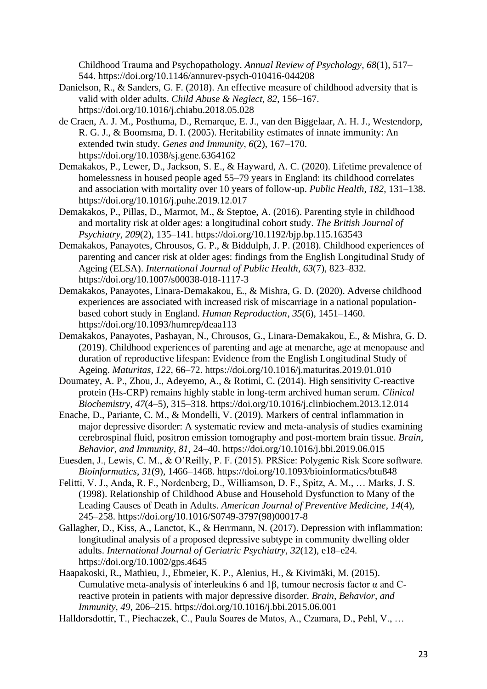Childhood Trauma and Psychopathology. *Annual Review of Psychology*, *68*(1), 517– 544. https://doi.org/10.1146/annurev-psych-010416-044208

- Danielson, R., & Sanders, G. F. (2018). An effective measure of childhood adversity that is valid with older adults. *Child Abuse & Neglect*, *82*, 156–167. https://doi.org/10.1016/j.chiabu.2018.05.028
- de Craen, A. J. M., Posthuma, D., Remarque, E. J., van den Biggelaar, A. H. J., Westendorp, R. G. J., & Boomsma, D. I. (2005). Heritability estimates of innate immunity: An extended twin study. *Genes and Immunity*, *6*(2), 167–170. https://doi.org/10.1038/sj.gene.6364162
- Demakakos, P., Lewer, D., Jackson, S. E., & Hayward, A. C. (2020). Lifetime prevalence of homelessness in housed people aged 55–79 years in England: its childhood correlates and association with mortality over 10 years of follow-up. *Public Health*, *182*, 131–138. https://doi.org/10.1016/j.puhe.2019.12.017
- Demakakos, P., Pillas, D., Marmot, M., & Steptoe, A. (2016). Parenting style in childhood and mortality risk at older ages: a longitudinal cohort study. *The British Journal of Psychiatry*, *209*(2), 135–141. https://doi.org/10.1192/bjp.bp.115.163543
- Demakakos, Panayotes, Chrousos, G. P., & Biddulph, J. P. (2018). Childhood experiences of parenting and cancer risk at older ages: findings from the English Longitudinal Study of Ageing (ELSA). *International Journal of Public Health*, *63*(7), 823–832. https://doi.org/10.1007/s00038-018-1117-3
- Demakakos, Panayotes, Linara-Demakakou, E., & Mishra, G. D. (2020). Adverse childhood experiences are associated with increased risk of miscarriage in a national populationbased cohort study in England. *Human Reproduction*, *35*(6), 1451–1460. https://doi.org/10.1093/humrep/deaa113
- Demakakos, Panayotes, Pashayan, N., Chrousos, G., Linara-Demakakou, E., & Mishra, G. D. (2019). Childhood experiences of parenting and age at menarche, age at menopause and duration of reproductive lifespan: Evidence from the English Longitudinal Study of Ageing. *Maturitas*, *122*, 66–72. https://doi.org/10.1016/j.maturitas.2019.01.010
- Doumatey, A. P., Zhou, J., Adeyemo, A., & Rotimi, C. (2014). High sensitivity C-reactive protein (Hs-CRP) remains highly stable in long-term archived human serum. *Clinical Biochemistry*, *47*(4–5), 315–318. https://doi.org/10.1016/j.clinbiochem.2013.12.014
- Enache, D., Pariante, C. M., & Mondelli, V. (2019). Markers of central inflammation in major depressive disorder: A systematic review and meta-analysis of studies examining cerebrospinal fluid, positron emission tomography and post-mortem brain tissue. *Brain, Behavior, and Immunity*, *81*, 24–40. https://doi.org/10.1016/j.bbi.2019.06.015
- Euesden, J., Lewis, C. M., & O'Reilly, P. F. (2015). PRSice: Polygenic Risk Score software. *Bioinformatics*, *31*(9), 1466–1468. https://doi.org/10.1093/bioinformatics/btu848
- Felitti, V. J., Anda, R. F., Nordenberg, D., Williamson, D. F., Spitz, A. M., … Marks, J. S. (1998). Relationship of Childhood Abuse and Household Dysfunction to Many of the Leading Causes of Death in Adults. *American Journal of Preventive Medicine*, *14*(4), 245–258. https://doi.org/10.1016/S0749-3797(98)00017-8
- Gallagher, D., Kiss, A., Lanctot, K., & Herrmann, N. (2017). Depression with inflammation: longitudinal analysis of a proposed depressive subtype in community dwelling older adults. *International Journal of Geriatric Psychiatry*, *32*(12), e18–e24. https://doi.org/10.1002/gps.4645
- Haapakoski, R., Mathieu, J., Ebmeier, K. P., Alenius, H., & Kivimäki, M. (2015). Cumulative meta-analysis of interleukins 6 and 1β, tumour necrosis factor α and Creactive protein in patients with major depressive disorder. *Brain, Behavior, and Immunity*, *49*, 206–215. https://doi.org/10.1016/j.bbi.2015.06.001
- Halldorsdottir, T., Piechaczek, C., Paula Soares de Matos, A., Czamara, D., Pehl, V., …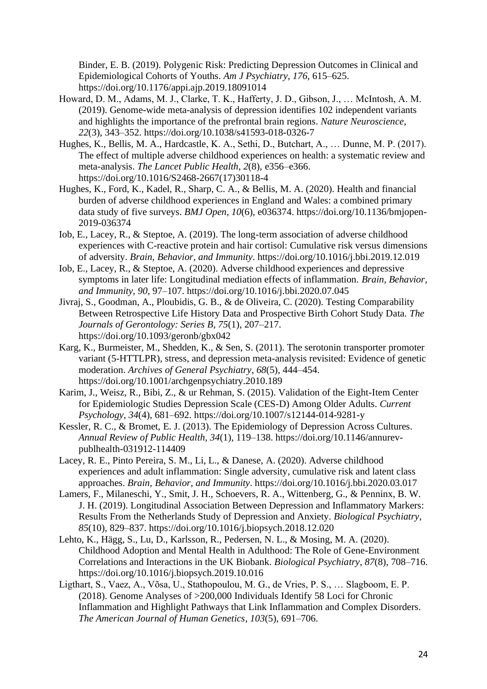Binder, E. B. (2019). Polygenic Risk: Predicting Depression Outcomes in Clinical and Epidemiological Cohorts of Youths. *Am J Psychiatry*, *176*, 615–625. https://doi.org/10.1176/appi.ajp.2019.18091014

- Howard, D. M., Adams, M. J., Clarke, T. K., Hafferty, J. D., Gibson, J., … McIntosh, A. M. (2019). Genome-wide meta-analysis of depression identifies 102 independent variants and highlights the importance of the prefrontal brain regions. *Nature Neuroscience*, *22*(3), 343–352. https://doi.org/10.1038/s41593-018-0326-7
- Hughes, K., Bellis, M. A., Hardcastle, K. A., Sethi, D., Butchart, A., … Dunne, M. P. (2017). The effect of multiple adverse childhood experiences on health: a systematic review and meta-analysis. *The Lancet Public Health*, *2*(8), e356–e366. https://doi.org/10.1016/S2468-2667(17)30118-4
- Hughes, K., Ford, K., Kadel, R., Sharp, C. A., & Bellis, M. A. (2020). Health and financial burden of adverse childhood experiences in England and Wales: a combined primary data study of five surveys. *BMJ Open*, *10*(6), e036374. https://doi.org/10.1136/bmjopen-2019-036374
- Iob, E., Lacey, R., & Steptoe, A. (2019). The long-term association of adverse childhood experiences with C-reactive protein and hair cortisol: Cumulative risk versus dimensions of adversity. *Brain, Behavior, and Immunity*. https://doi.org/10.1016/j.bbi.2019.12.019
- Iob, E., Lacey, R., & Steptoe, A. (2020). Adverse childhood experiences and depressive symptoms in later life: Longitudinal mediation effects of inflammation. *Brain, Behavior, and Immunity*, *90*, 97–107. https://doi.org/10.1016/j.bbi.2020.07.045
- Jivraj, S., Goodman, A., Ploubidis, G. B., & de Oliveira, C. (2020). Testing Comparability Between Retrospective Life History Data and Prospective Birth Cohort Study Data. *The Journals of Gerontology: Series B*, *75*(1), 207–217. https://doi.org/10.1093/geronb/gbx042
- Karg, K., Burmeister, M., Shedden, K., & Sen, S. (2011). The serotonin transporter promoter variant (5-HTTLPR), stress, and depression meta-analysis revisited: Evidence of genetic moderation. *Archives of General Psychiatry*, *68*(5), 444–454. https://doi.org/10.1001/archgenpsychiatry.2010.189
- Karim, J., Weisz, R., Bibi, Z., & ur Rehman, S. (2015). Validation of the Eight-Item Center for Epidemiologic Studies Depression Scale (CES-D) Among Older Adults. *Current Psychology*, *34*(4), 681–692. https://doi.org/10.1007/s12144-014-9281-y
- Kessler, R. C., & Bromet, E. J. (2013). The Epidemiology of Depression Across Cultures. *Annual Review of Public Health*, *34*(1), 119–138. https://doi.org/10.1146/annurevpublhealth-031912-114409
- Lacey, R. E., Pinto Pereira, S. M., Li, L., & Danese, A. (2020). Adverse childhood experiences and adult inflammation: Single adversity, cumulative risk and latent class approaches. *Brain, Behavior, and Immunity*. https://doi.org/10.1016/j.bbi.2020.03.017
- Lamers, F., Milaneschi, Y., Smit, J. H., Schoevers, R. A., Wittenberg, G., & Penninx, B. W. J. H. (2019). Longitudinal Association Between Depression and Inflammatory Markers: Results From the Netherlands Study of Depression and Anxiety. *Biological Psychiatry*, *85*(10), 829–837. https://doi.org/10.1016/j.biopsych.2018.12.020
- Lehto, K., Hägg, S., Lu, D., Karlsson, R., Pedersen, N. L., & Mosing, M. A. (2020). Childhood Adoption and Mental Health in Adulthood: The Role of Gene-Environment Correlations and Interactions in the UK Biobank. *Biological Psychiatry*, *87*(8), 708–716. https://doi.org/10.1016/j.biopsych.2019.10.016
- Ligthart, S., Vaez, A., Võsa, U., Stathopoulou, M. G., de Vries, P. S., … Slagboom, E. P. (2018). Genome Analyses of >200,000 Individuals Identify 58 Loci for Chronic Inflammation and Highlight Pathways that Link Inflammation and Complex Disorders. *The American Journal of Human Genetics*, *103*(5), 691–706.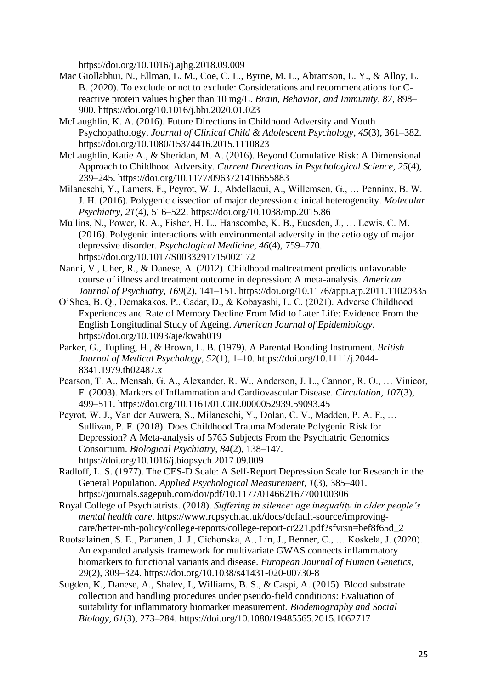https://doi.org/10.1016/j.ajhg.2018.09.009

- Mac Giollabhui, N., Ellman, L. M., Coe, C. L., Byrne, M. L., Abramson, L. Y., & Alloy, L. B. (2020). To exclude or not to exclude: Considerations and recommendations for Creactive protein values higher than 10 mg/L. *Brain, Behavior, and Immunity*, *87*, 898– 900. https://doi.org/10.1016/j.bbi.2020.01.023
- McLaughlin, K. A. (2016). Future Directions in Childhood Adversity and Youth Psychopathology. *Journal of Clinical Child & Adolescent Psychology*, *45*(3), 361–382. https://doi.org/10.1080/15374416.2015.1110823
- McLaughlin, Katie A., & Sheridan, M. A. (2016). Beyond Cumulative Risk: A Dimensional Approach to Childhood Adversity. *Current Directions in Psychological Science*, *25*(4), 239–245. https://doi.org/10.1177/0963721416655883
- Milaneschi, Y., Lamers, F., Peyrot, W. J., Abdellaoui, A., Willemsen, G., … Penninx, B. W. J. H. (2016). Polygenic dissection of major depression clinical heterogeneity. *Molecular Psychiatry*, *21*(4), 516–522. https://doi.org/10.1038/mp.2015.86
- Mullins, N., Power, R. A., Fisher, H. L., Hanscombe, K. B., Euesden, J., … Lewis, C. M. (2016). Polygenic interactions with environmental adversity in the aetiology of major depressive disorder. *Psychological Medicine*, *46*(4), 759–770. https://doi.org/10.1017/S0033291715002172
- Nanni, V., Uher, R., & Danese, A. (2012). Childhood maltreatment predicts unfavorable course of illness and treatment outcome in depression: A meta-analysis. *American Journal of Psychiatry*, *169*(2), 141–151. https://doi.org/10.1176/appi.ajp.2011.11020335
- O'Shea, B. Q., Demakakos, P., Cadar, D., & Kobayashi, L. C. (2021). Adverse Childhood Experiences and Rate of Memory Decline From Mid to Later Life: Evidence From the English Longitudinal Study of Ageing. *American Journal of Epidemiology*. https://doi.org/10.1093/aje/kwab019
- Parker, G., Tupling, H., & Brown, L. B. (1979). A Parental Bonding Instrument. *British Journal of Medical Psychology*, *52*(1), 1–10. https://doi.org/10.1111/j.2044- 8341.1979.tb02487.x
- Pearson, T. A., Mensah, G. A., Alexander, R. W., Anderson, J. L., Cannon, R. O., … Vinicor, F. (2003). Markers of Inflammation and Cardiovascular Disease. *Circulation*, *107*(3), 499–511. https://doi.org/10.1161/01.CIR.0000052939.59093.45
- Peyrot, W. J., Van der Auwera, S., Milaneschi, Y., Dolan, C. V., Madden, P. A. F., … Sullivan, P. F. (2018). Does Childhood Trauma Moderate Polygenic Risk for Depression? A Meta-analysis of 5765 Subjects From the Psychiatric Genomics Consortium. *Biological Psychiatry*, *84*(2), 138–147. https://doi.org/10.1016/j.biopsych.2017.09.009
- Radloff, L. S. (1977). The CES-D Scale: A Self-Report Depression Scale for Research in the General Population. *Applied Psychological Measurement*, *1*(3), 385–401. https://journals.sagepub.com/doi/pdf/10.1177/014662167700100306
- Royal College of Psychiatrists. (2018). *Suffering in silence: age inequality in older people's mental health care*. https://www.rcpsych.ac.uk/docs/default-source/improvingcare/better-mh-policy/college-reports/college-report-cr221.pdf?sfvrsn=bef8f65d\_2
- Ruotsalainen, S. E., Partanen, J. J., Cichonska, A., Lin, J., Benner, C., … Koskela, J. (2020). An expanded analysis framework for multivariate GWAS connects inflammatory biomarkers to functional variants and disease. *European Journal of Human Genetics*, *29*(2), 309–324. https://doi.org/10.1038/s41431-020-00730-8
- Sugden, K., Danese, A., Shalev, I., Williams, B. S., & Caspi, A. (2015). Blood substrate collection and handling procedures under pseudo-field conditions: Evaluation of suitability for inflammatory biomarker measurement. *Biodemography and Social Biology*, *61*(3), 273–284. https://doi.org/10.1080/19485565.2015.1062717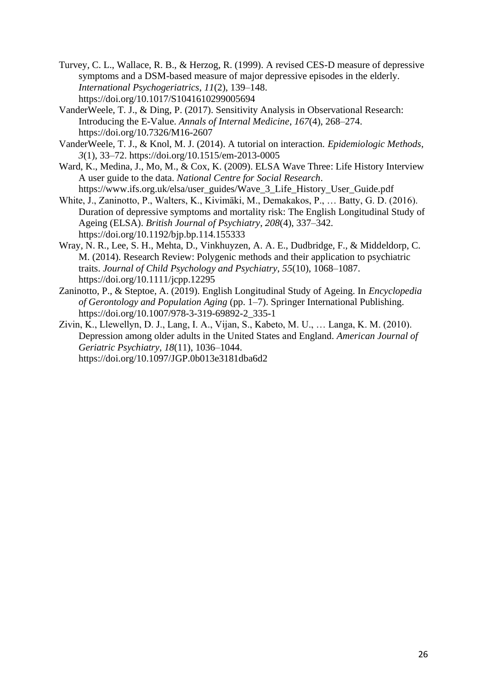- Turvey, C. L., Wallace, R. B., & Herzog, R. (1999). A revised CES-D measure of depressive symptoms and a DSM-based measure of major depressive episodes in the elderly. *International Psychogeriatrics*, *11*(2), 139–148. https://doi.org/10.1017/S1041610299005694
- VanderWeele, T. J., & Ding, P. (2017). Sensitivity Analysis in Observational Research: Introducing the E-Value. *Annals of Internal Medicine*, *167*(4), 268–274. https://doi.org/10.7326/M16-2607
- VanderWeele, T. J., & Knol, M. J. (2014). A tutorial on interaction. *Epidemiologic Methods*, *3*(1), 33–72. https://doi.org/10.1515/em-2013-0005
- Ward, K., Medina, J., Mo, M., & Cox, K. (2009). ELSA Wave Three: Life History Interview A user guide to the data. *National Centre for Social Research*. https://www.ifs.org.uk/elsa/user\_guides/Wave\_3\_Life\_History\_User\_Guide.pdf
- White, J., Zaninotto, P., Walters, K., Kivimäki, M., Demakakos, P., … Batty, G. D. (2016). Duration of depressive symptoms and mortality risk: The English Longitudinal Study of Ageing (ELSA). *British Journal of Psychiatry*, *208*(4), 337–342. https://doi.org/10.1192/bjp.bp.114.155333
- Wray, N. R., Lee, S. H., Mehta, D., Vinkhuyzen, A. A. E., Dudbridge, F., & Middeldorp, C. M. (2014). Research Review: Polygenic methods and their application to psychiatric traits. *Journal of Child Psychology and Psychiatry*, *55*(10), 1068–1087. https://doi.org/10.1111/jcpp.12295
- Zaninotto, P., & Steptoe, A. (2019). English Longitudinal Study of Ageing. In *Encyclopedia of Gerontology and Population Aging* (pp. 1–7). Springer International Publishing. https://doi.org/10.1007/978-3-319-69892-2\_335-1
- Zivin, K., Llewellyn, D. J., Lang, I. A., Vijan, S., Kabeto, M. U., … Langa, K. M. (2010). Depression among older adults in the United States and England. *American Journal of Geriatric Psychiatry*, *18*(11), 1036–1044. https://doi.org/10.1097/JGP.0b013e3181dba6d2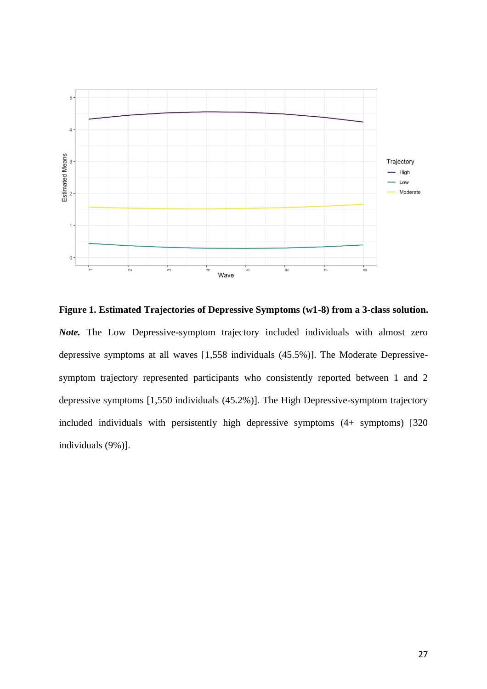

**Figure 1. Estimated Trajectories of Depressive Symptoms (w1-8) from a 3-class solution.** *Note.* The Low Depressive-symptom trajectory included individuals with almost zero depressive symptoms at all waves [1,558 individuals (45.5%)]. The Moderate Depressivesymptom trajectory represented participants who consistently reported between 1 and 2 depressive symptoms [1,550 individuals (45.2%)]. The High Depressive-symptom trajectory included individuals with persistently high depressive symptoms (4+ symptoms) [320 individuals (9%)].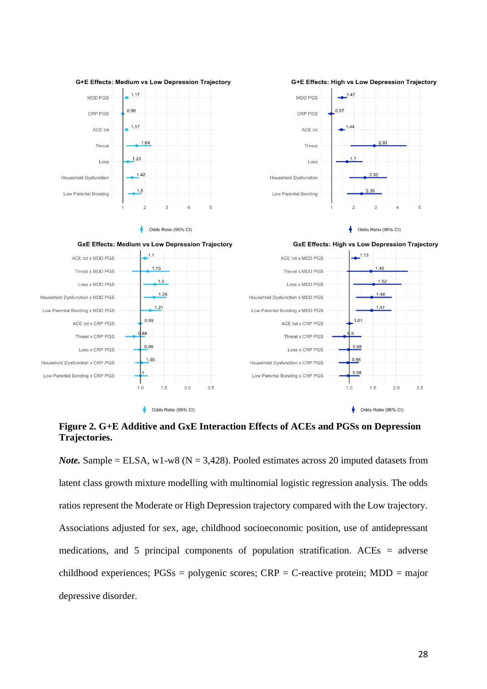

**Figure 2. G+E Additive and GxE Interaction Effects of ACEs and PGSs on Depression Trajectories.**

*Note.* Sample = ELSA, w1-w8 ( $N = 3,428$ ). Pooled estimates across 20 imputed datasets from latent class growth mixture modelling with multinomial logistic regression analysis. The odds ratios represent the Moderate or High Depression trajectory compared with the Low trajectory. Associations adjusted for sex, age, childhood socioeconomic position, use of antidepressant medications, and 5 principal components of population stratification. ACEs = adverse childhood experiences; PGSs = polygenic scores; CRP = C-reactive protein; MDD = major depressive disorder.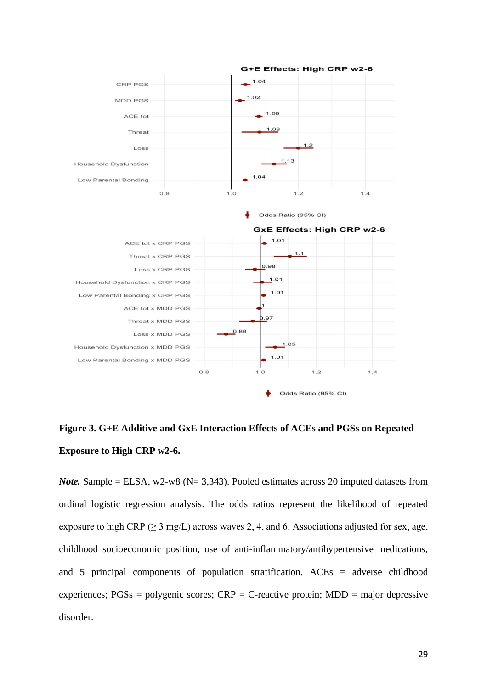

**Figure 3. G+E Additive and GxE Interaction Effects of ACEs and PGSs on Repeated Exposure to High CRP w2-6.**

*Note.* Sample = ELSA, w2-w8 ( $N = 3,343$ ). Pooled estimates across 20 imputed datasets from ordinal logistic regression analysis. The odds ratios represent the likelihood of repeated exposure to high CRP ( $\geq$  3 mg/L) across waves 2, 4, and 6. Associations adjusted for sex, age, childhood socioeconomic position, use of anti-inflammatory/antihypertensive medications, and 5 principal components of population stratification. ACEs = adverse childhood experiences;  $PGSs = polygenic scores$ ;  $CRP = C$ -reactive protein;  $MDD = major depressive$ disorder.